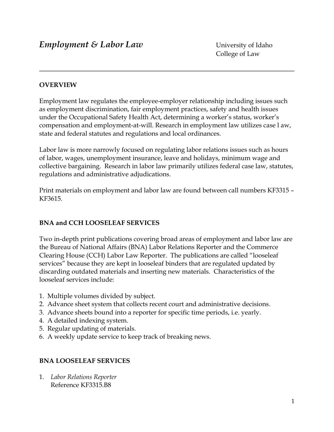### **OVERVIEW**

Employment law regulates the employee-employer relationship including issues such as employment discrimination, fair employment practices, safety and health issues under the Occupational Safety Health Act, determining a worker's status, worker's compensation and employment-at-will. Research in employment law utilizes case l aw, state and federal statutes and regulations and local ordinances.

Labor law is more narrowly focused on regulating labor relations issues such as hours of labor, wages, unemployment insurance, leave and holidays, minimum wage and collective bargaining. Research in labor law primarily utilizes federal case law, statutes, regulations and administrative adjudications.

Print materials on employment and labor law are found between call numbers KF3315 – KF3615.

#### **BNA and CCH LOOSELEAF SERVICES**

Two in-depth print publications covering broad areas of employment and labor law are the Bureau of National Affairs (BNA) Labor Relations Reporter and the Commerce Clearing House (CCH) Labor Law Reporter. The publications are called "looseleaf services" because they are kept in looseleaf binders that are regulated updated by discarding outdated materials and inserting new materials. Characteristics of the looseleaf services include:

- 1. Multiple volumes divided by subject.
- 2. Advance sheet system that collects recent court and administrative decisions.
- 3. Advance sheets bound into a reporter for specific time periods, i.e. yearly.
- 4. A detailed indexing system.
- 5. Regular updating of materials.
- 6. A weekly update service to keep track of breaking news.

## **BNA LOOSELEAF SERVICES**

1. *Labor Relations Reporter* Reference KF3315.B8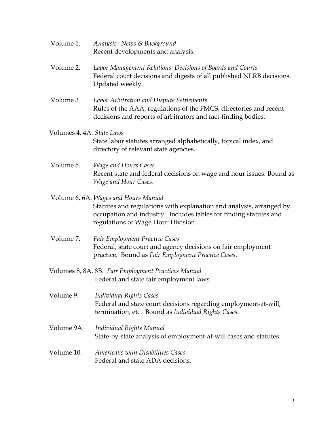- Volume 1. *Analysis--News & Background* Recent developments and analysis.
- Volume 2. *Labor Management Relations: Decisions of Boards and Courts* Federal court decisions and digests of all published NLRB decisions. Updated weekly.
- Volume 3. *Labor Arbitration and Dispute Settlements* Rules of the AAA, regulations of the FMCS, directories and recent decisions and reports of arbitrators and fact-finding bodies.
- Volumes 4, 4A. *State Laws* State labor statutes arranged alphabetically, topical index, and directory of relevant state agencies.
- Volume 5. *Wage and Hours Cases* Recent state and federal decisions on wage and hour issues. Bound as *Wage and Hour Cases*.
- Volume 6, 6A. *Wages and Hours Manual* Statutes and regulations with explanation and analysis, arranged by occupation and industry. Includes tables for finding statutes and regulations of Wage Hour Division.
- Volume 7. *Fair Employment Practice Cases* Federal, state court and agency decisions on fair employment practice. Bound as *Fair Employment Practice Cases*.
- Volumes 8, 8A, 8B. *Fair Employment Practices Manual* Federal and state fair employment laws.
- Volume 9. *Individual Rights Cases* Federal and state court decisions regarding employment-at-will, termination, etc. Bound as *Individual Rights Cases*.
- Volume 9A. *Individual Rights Manual* State-by-state analysis of employment-at-will cases and statutes.
- Volume 10. *Americans with Disabilities Cases* Federal and state ADA decisions.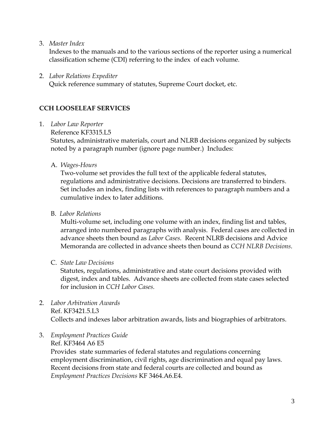3. *Master Index*

 Indexes to the manuals and to the various sections of the reporter using a numerical classification scheme (CDI) referring to the index of each volume.

2. *Labor Relations Expediter* 

Quick reference summary of statutes, Supreme Court docket, etc.

# **CCH LOOSELEAF SERVICES**

- 1. *Labor Law Reporter*
	- Reference KF3315.L5

 Statutes, administrative materials, court and NLRB decisions organized by subjects noted by a paragraph number (ignore page number.) Includes:

A. *Wages-Hours*

 Two-volume set provides the full text of the applicable federal statutes, regulations and administrative decisions. Decisions are transferred to binders. Set includes an index, finding lists with references to paragraph numbers and a cumulative index to later additions.

B. *Labor Relations*

 Multi-volume set, including one volume with an index, finding list and tables, arranged into numbered paragraphs with analysis. Federal cases are collected in advance sheets then bound as *Labor Cases.* Recent NLRB decisions and Advice Memoranda are collected in advance sheets then bound as *CCH NLRB Decisions*.

C. *State Law Decisions*

Statutes, regulations, administrative and state court decisions provided with digest, index and tables. Advance sheets are collected from state cases selected for inclusion in *CCH Labor Cases.*

2. *Labor Arbitration Awards* Ref. KF3421.5.L3

Collects and indexes labor arbitration awards, lists and biographies of arbitrators.

3. *Employment Practices Guide* Ref. KF3464 A6 E5

> Provides state summaries of federal statutes and regulations concerning employment discrimination, civil rights, age discrimination and equal pay laws. Recent decisions from state and federal courts are collected and bound as *Employment Practices Decisions* KF 3464.A6.E4.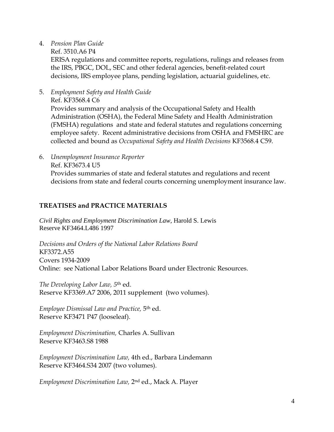- 4. *Pension Plan Guide*
	- Ref. 3510.A6 P4

 ERISA regulations and committee reports, regulations, rulings and releases from the IRS, PBGC, DOL, SEC and other federal agencies, benefit-related court decisions, IRS employee plans, pending legislation, actuarial guidelines, etc.

5. *Employment Safety and Health Guide* Ref. KF3568.4 C6

 Provides summary and analysis of the Occupational Safety and Health Administration (OSHA), the Federal Mine Safety and Health Administration (FMSHA) regulations and state and federal statutes and regulations concerning employee safety. Recent administrative decisions from OSHA and FMSHRC are collected and bound as *Occupational Safety and Health Decisions* KF3568.4 C59.

6. *Unemployment Insurance Reporter* Ref. KF3673.4 U5 Provides summaries of state and federal statutes and regulations and recent decisions from state and federal courts concerning unemployment insurance law.

## **TREATISES and PRACTICE MATERIALS**

*Civil Rights and Employment Discrimination Law,* Harold S. Lewis Reserve KF3464.L486 1997

*Decisions and Orders of the National Labor Relations Board* KF3372.A55 Covers 1934-2009 Online: see National Labor Relations Board under Electronic Resources.

*The Developing Labor Law, 5*th ed. Reserve KF3369.A7 2006, 2011 supplement (two volumes).

*Employee Dismissal Law and Practice,* 5th ed. Reserve KF3471 P47 (looseleaf).

*Employment Discrimination,* Charles A. Sullivan Reserve KF3463.S8 1988

*Employment Discrimination Law,* 4th ed., Barbara Lindemann Reserve KF3464.S34 2007 (two volumes).

*Employment Discrimination Law,* 2nd ed., Mack A. Player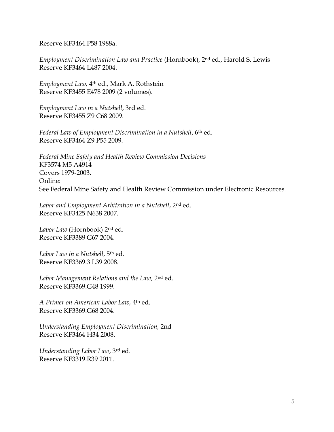Reserve KF3464.P58 1988a.

*Employment Discrimination Law and Practice* (Hornbook), 2nd ed., Harold S. Lewis Reserve KF3464 L487 2004.

*Employment Law,* 4th ed., Mark A. Rothstein Reserve KF3455 E478 2009 (2 volumes).

*Employment Law in a Nutshell*, 3rd ed. Reserve KF3455 Z9 C68 2009.

*Federal Law of Employment Discrimination in a Nutshell*, 6th ed. Reserve KF3464 Z9 P55 2009.

*Federal Mine Safety and Health Review Commission Decisions* KF3574 M5 A4914 Covers 1979-2003. Online: See Federal Mine Safety and Health Review Commission under Electronic Resources.

*Labor and Employment Arbitration in a Nutshell*, 2nd ed. Reserve KF3425 N638 2007.

*Labor Law* (Hornbook) 2nd ed. Reserve KF3389 G67 2004.

*Labor Law in a Nutshell*, 5th ed. Reserve KF3369.3 L39 2008.

*Labor Management Relations and the Law,* 2nd ed. Reserve KF3369.G48 1999.

*A Primer on American Labor Law,* 4th ed. Reserve KF3369.G68 2004.

*Understanding Employment Discrimination*, 2nd Reserve KF3464 H34 2008.

*Understanding Labor Law*, 3rd ed. Reserve KF3319.R39 2011.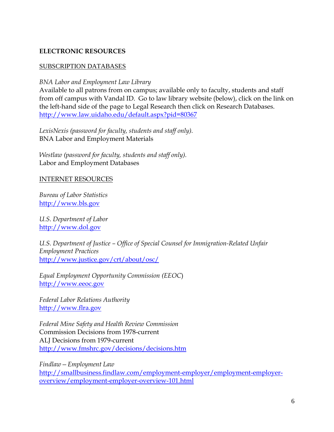## **ELECTRONIC RESOURCES**

### SUBSCRIPTION DATABASES

*BNA Labor and Employment Law Library*

Available to all patrons from on campus; available only to faculty, students and staff from off campus with Vandal ID. Go to law library website (below), click on the link on the left-hand side of the page to Legal Research then click on Research Databases. <http://www.law.uidaho.edu/default.aspx?pid=80367>

*LexisNexis (password for faculty, students and staff only).*  BNA Labor and Employment Materials

*Westlaw (password for faculty, students and staff only).* Labor and Employment Databases

#### INTERNET RESOURCES

*Bureau of Labor Statistics* [http://www.bls.gov](http://www.bls.gov/)

*U.S. Department of Labor* [http://www.dol.gov](http://www.dol.gov/)

*U.S. Department of Justice – Office of Special Counsel for Immigration-Related Unfair Employment Practices* <http://www.justice.gov/crt/about/osc/>

*Equal Employment Opportunity Commission (EEOC*) [http://www.eeoc.gov](http://www.eeoc.gov/)

*Federal Labor Relations Authority* [http://www.flra.gov](http://www.flra.gov/)

*Federal Mine Safety and Health Review Commission* Commission Decisions from 1978-current ALJ Decisions from 1979-current <http://www.fmshrc.gov/decisions/decisions.htm>

*Findlaw—Employment Law* [http://smallbusiness.findlaw.com/employment-employer/employment-employer](http://smallbusiness.findlaw.com/employment-employer/employment-employer-overview/employment-employer-overview-101.html)[overview/employment-employer-overview-101.html](http://smallbusiness.findlaw.com/employment-employer/employment-employer-overview/employment-employer-overview-101.html)